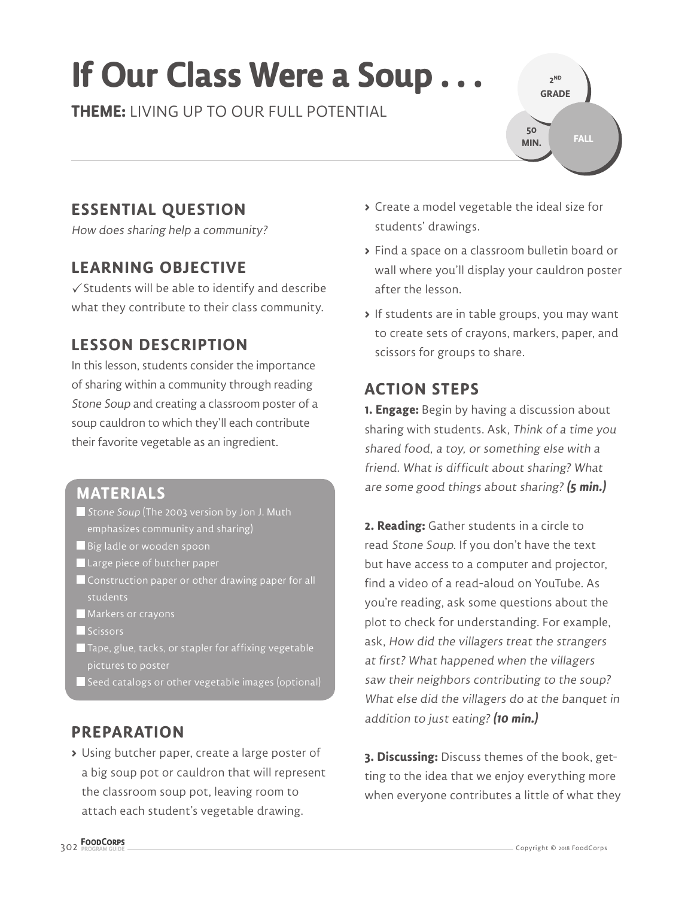# **If Our Class Were a Soup . . .**

**THEME:** LIVING UP TO OUR FULL POTENTIAL



# **ESSENTIAL QUESTION**

How does sharing help a community?

## **LEARNING OBJECTIVE**

 $\checkmark$  Students will be able to identify and describe what they contribute to their class community.

# **LESSON DESCRIPTION**

In this lesson, students consider the importance of sharing within a community through reading Stone Soup and creating a classroom poster of a soup cauldron to which they'll each contribute their favorite vegetable as an ingredient.

### **MATERIALS**

- Stone Soup (The 2003 version by Jon J. Muth emphasizes community and sharing)
- Big ladle or wooden spoon
- Large piece of butcher paper
- Construction paper or other drawing paper for all students
- **Markers or crayons**
- Scissors
- $\blacksquare$  Tape, glue, tacks, or stapler for affixing vegetable pictures to poster
- $\blacksquare$  Seed catalogs or other vegetable images (optional)

## **PREPARATION**

**>** Using butcher paper, create a large poster of a big soup pot or cauldron that will represent the classroom soup pot, leaving room to attach each student's vegetable drawing.

- **>** Create a model vegetable the ideal size for students' drawings.
- **>** Find a space on a classroom bulletin board or wall where you'll display your cauldron poster after the lesson.
- **>** If students are in table groups, you may want to create sets of crayons, markers, paper, and scissors for groups to share.

## **ACTION STEPS**

**1. Engage:** Begin by having a discussion about sharing with students. Ask, Think of a time you shared food, a toy, or something else with a friend. What is difficult about sharing? What are some good things about sharing? **(5 min.)**

**2. Reading:** Gather students in a circle to read Stone Soup. If you don't have the text but have access to a computer and projector, find a video of a read-aloud on YouTube. As you're reading, ask some questions about the plot to check for understanding. For example, ask, How did the villagers treat the strangers at first? What happened when the villagers saw their neighbors contributing to the soup? What else did the villagers do at the banquet in addition to just eating? **(10 min.)**

**3. Discussing:** Discuss themes of the book, getting to the idea that we enjoy everything more when everyone contributes a little of what they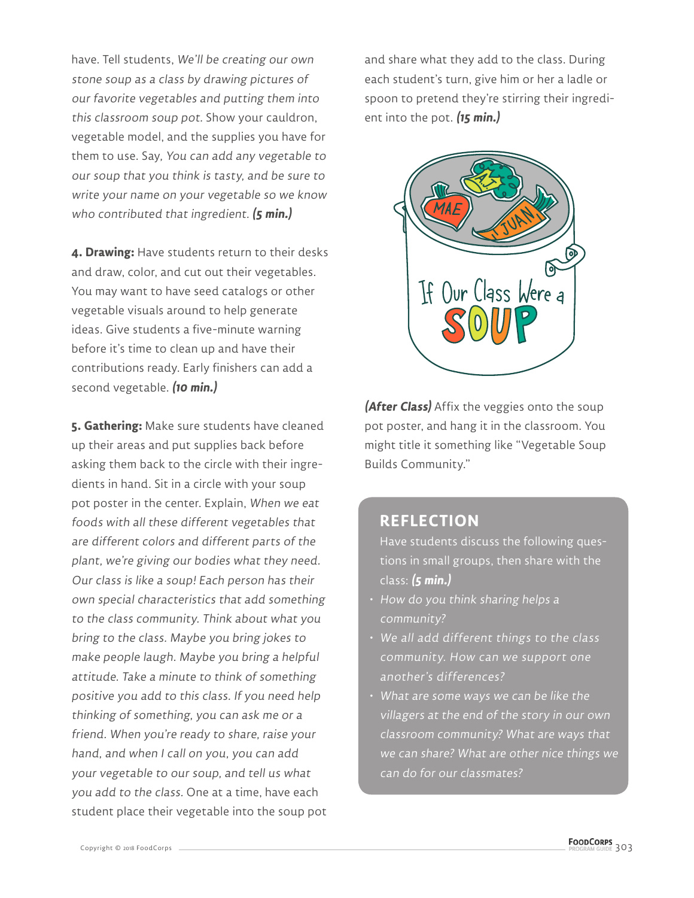have. Tell students, We'll be creating our own stone soup as a class by drawing pictures of our favorite vegetables and putting them into this classroom soup pot. Show your cauldron, vegetable model, and the supplies you have for them to use. Say, You can add any vegetable to our soup that you think is tasty, and be sure to write your name on your vegetable so we know who contributed that ingredient. **(5 min.)**

**4. Drawing:** Have students return to their desks and draw, color, and cut out their vegetables. You may want to have seed catalogs or other vegetable visuals around to help generate ideas. Give students a five-minute warning before it's time to clean up and have their contributions ready. Early finishers can add a second vegetable. **(10 min.)**

**5. Gathering:** Make sure students have cleaned up their areas and put supplies back before asking them back to the circle with their ingredients in hand. Sit in a circle with your soup pot poster in the center. Explain, When we eat foods with all these different vegetables that are different colors and different parts of the plant, we're giving our bodies what they need. Our class is like a soup! Each person has their own special characteristics that add something to the class community. Think about what you bring to the class. Maybe you bring jokes to make people laugh. Maybe you bring a helpful attitude. Take a minute to think of something positive you add to this class. If you need help thinking of something, you can ask me or a friend. When you're ready to share, raise your hand, and when I call on you, you can add your vegetable to our soup, and tell us what you add to the class. One at a time, have each student place their vegetable into the soup pot

and share what they add to the class. During each student's turn, give him or her a ladle or spoon to pretend they're stirring their ingredient into the pot. **(15 min.)**



**(After Class)** Affix the veggies onto the soup pot poster, and hang it in the classroom. You might title it something like "Vegetable Soup Builds Community."

#### **REFLECTION**

Have students discuss the following questions in small groups, then share with the class: **(5 min.)**

- $\overline{\textbf{e}}$  How do you think sharing helps a community?
- We all add different things to the class community. How can we support one another's differences?
- What are some ways we can be like the villagers at the end of the story in our own classroom community? What are ways that we can share? What are other nice things we can do for our classmates?